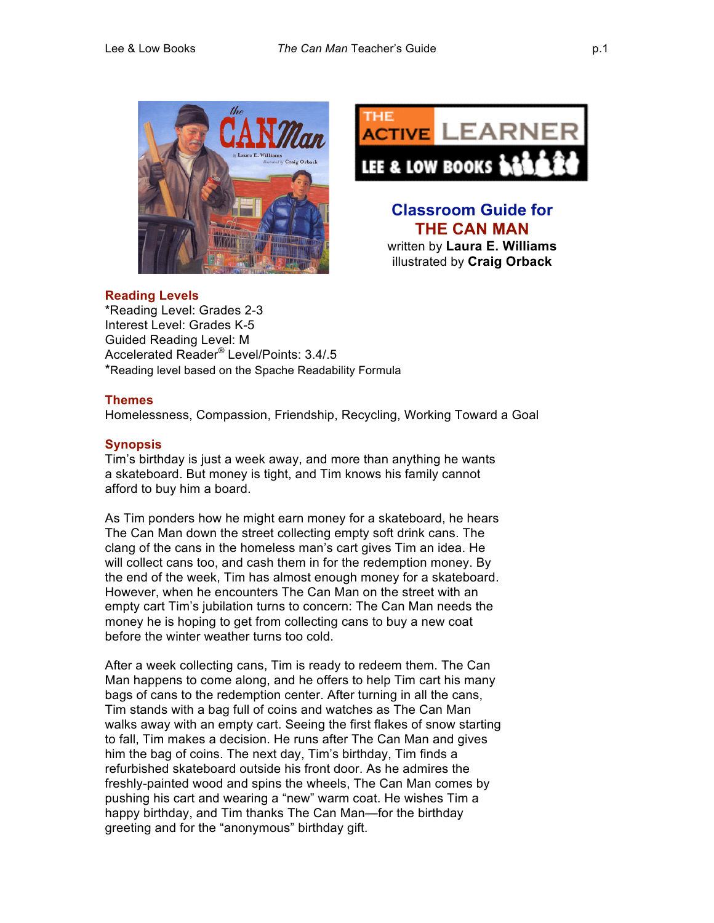



**Classroom Guide for THE CAN MAN**

written by **Laura E. Williams** illustrated by **Craig Orback**

### **Reading Levels**

\*Reading Level: Grades 2-3 Interest Level: Grades K-5 Guided Reading Level: M Accelerated Reader® Level/Points: 3.4/.5 \*Reading level based on the Spache Readability Formula

# **Themes**

Homelessness, Compassion, Friendship, Recycling, Working Toward a Goal

# **Synopsis**

Tim's birthday is just a week away, and more than anything he wants a skateboard. But money is tight, and Tim knows his family cannot afford to buy him a board.

As Tim ponders how he might earn money for a skateboard, he hears The Can Man down the street collecting empty soft drink cans. The clang of the cans in the homeless man's cart gives Tim an idea. He will collect cans too, and cash them in for the redemption money. By the end of the week, Tim has almost enough money for a skateboard. However, when he encounters The Can Man on the street with an empty cart Tim's jubilation turns to concern: The Can Man needs the money he is hoping to get from collecting cans to buy a new coat before the winter weather turns too cold.

After a week collecting cans, Tim is ready to redeem them. The Can Man happens to come along, and he offers to help Tim cart his many bags of cans to the redemption center. After turning in all the cans, Tim stands with a bag full of coins and watches as The Can Man walks away with an empty cart. Seeing the first flakes of snow starting to fall, Tim makes a decision. He runs after The Can Man and gives him the bag of coins. The next day, Tim's birthday, Tim finds a refurbished skateboard outside his front door. As he admires the freshly-painted wood and spins the wheels, The Can Man comes by pushing his cart and wearing a "new" warm coat. He wishes Tim a happy birthday, and Tim thanks The Can Man—for the birthday greeting and for the "anonymous" birthday gift.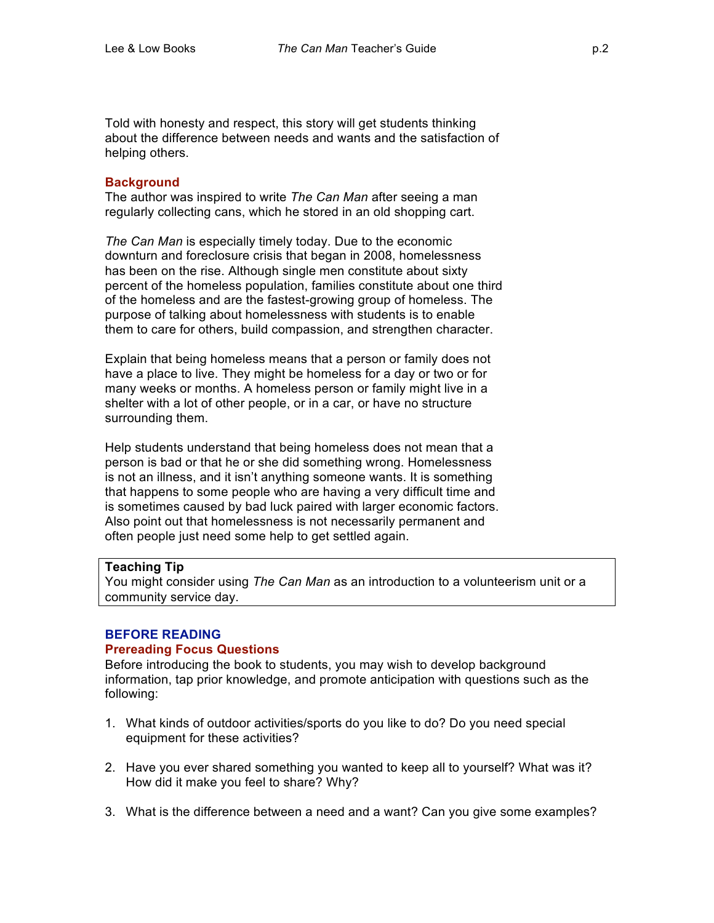Told with honesty and respect, this story will get students thinking about the difference between needs and wants and the satisfaction of helping others.

### **Background**

The author was inspired to write *The Can Man* after seeing a man regularly collecting cans, which he stored in an old shopping cart.

*The Can Man* is especially timely today. Due to the economic downturn and foreclosure crisis that began in 2008, homelessness has been on the rise. Although single men constitute about sixty percent of the homeless population, families constitute about one third of the homeless and are the fastest-growing group of homeless. The purpose of talking about homelessness with students is to enable them to care for others, build compassion, and strengthen character.

Explain that being homeless means that a person or family does not have a place to live. They might be homeless for a day or two or for many weeks or months. A homeless person or family might live in a shelter with a lot of other people, or in a car, or have no structure surrounding them.

Help students understand that being homeless does not mean that a person is bad or that he or she did something wrong. Homelessness is not an illness, and it isn't anything someone wants. It is something that happens to some people who are having a very difficult time and is sometimes caused by bad luck paired with larger economic factors. Also point out that homelessness is not necessarily permanent and often people just need some help to get settled again.

### **Teaching Tip**

You might consider using *The Can Man* as an introduction to a volunteerism unit or a community service day.

# **BEFORE READING**

#### **Prereading Focus Questions**

Before introducing the book to students, you may wish to develop background information, tap prior knowledge, and promote anticipation with questions such as the following:

- 1. What kinds of outdoor activities/sports do you like to do? Do you need special equipment for these activities?
- 2. Have you ever shared something you wanted to keep all to yourself? What was it? How did it make you feel to share? Why?
- 3. What is the difference between a need and a want? Can you give some examples?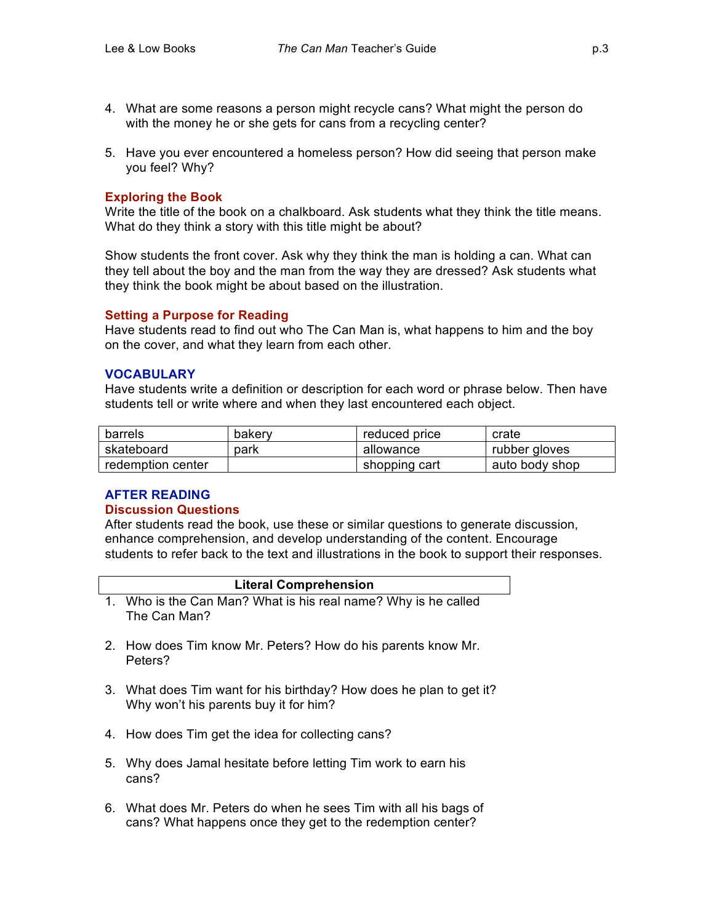- 4. What are some reasons a person might recycle cans? What might the person do with the money he or she gets for cans from a recycling center?
- 5. Have you ever encountered a homeless person? How did seeing that person make you feel? Why?

### **Exploring the Book**

Write the title of the book on a chalkboard. Ask students what they think the title means. What do they think a story with this title might be about?

Show students the front cover. Ask why they think the man is holding a can. What can they tell about the boy and the man from the way they are dressed? Ask students what they think the book might be about based on the illustration.

### **Setting a Purpose for Reading**

Have students read to find out who The Can Man is, what happens to him and the boy on the cover, and what they learn from each other.

#### **VOCABULARY**

Have students write a definition or description for each word or phrase below. Then have students tell or write where and when they last encountered each object.

| barrels           | bakery | reduced price | crate          |
|-------------------|--------|---------------|----------------|
| skateboard        | park   | allowance     | rubber gloves  |
| redemption center |        | shopping cart | auto body shop |

# **AFTER READING**

#### **Discussion Questions**

After students read the book, use these or similar questions to generate discussion, enhance comprehension, and develop understanding of the content. Encourage students to refer back to the text and illustrations in the book to support their responses.

#### **Literal Comprehension**

- 1. Who is the Can Man? What is his real name? Why is he called The Can Man?
- 2. How does Tim know Mr. Peters? How do his parents know Mr. Peters?
- 3. What does Tim want for his birthday? How does he plan to get it? Why won't his parents buy it for him?
- 4. How does Tim get the idea for collecting cans?
- 5. Why does Jamal hesitate before letting Tim work to earn his cans?
- 6. What does Mr. Peters do when he sees Tim with all his bags of cans? What happens once they get to the redemption center?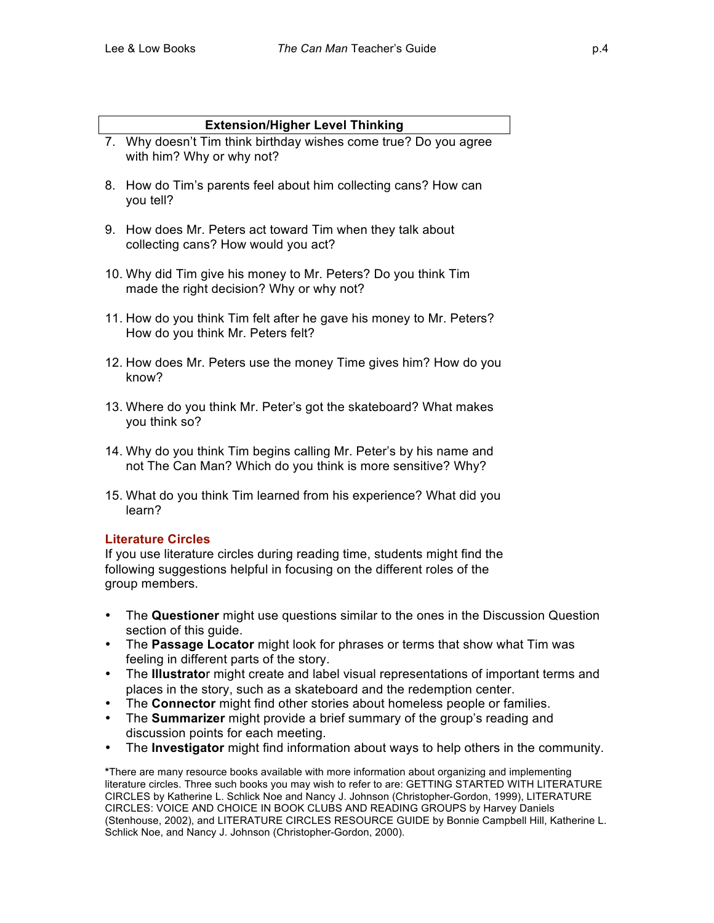# **Extension/Higher Level Thinking**

- 7. Why doesn't Tim think birthday wishes come true? Do you agree with him? Why or why not?
- 8. How do Tim's parents feel about him collecting cans? How can you tell?
- 9. How does Mr. Peters act toward Tim when they talk about collecting cans? How would you act?
- 10. Why did Tim give his money to Mr. Peters? Do you think Tim made the right decision? Why or why not?
- 11. How do you think Tim felt after he gave his money to Mr. Peters? How do you think Mr. Peters felt?
- 12. How does Mr. Peters use the money Time gives him? How do you know?
- 13. Where do you think Mr. Peter's got the skateboard? What makes you think so?
- 14. Why do you think Tim begins calling Mr. Peter's by his name and not The Can Man? Which do you think is more sensitive? Why?
- 15. What do you think Tim learned from his experience? What did you learn?

# **Literature Circles**

If you use literature circles during reading time, students might find the following suggestions helpful in focusing on the different roles of the group members.

- The **Questioner** might use questions similar to the ones in the Discussion Question section of this quide.
- The **Passage Locator** might look for phrases or terms that show what Tim was feeling in different parts of the story.
- The **Illustrato**r might create and label visual representations of important terms and places in the story, such as a skateboard and the redemption center.
- The **Connector** might find other stories about homeless people or families.
- The **Summarizer** might provide a brief summary of the group's reading and discussion points for each meeting.
- The **Investigator** might find information about ways to help others in the community.

**\***There are many resource books available with more information about organizing and implementing literature circles. Three such books you may wish to refer to are: GETTING STARTED WITH LITERATURE CIRCLES by Katherine L. Schlick Noe and Nancy J. Johnson (Christopher-Gordon, 1999), LITERATURE CIRCLES: VOICE AND CHOICE IN BOOK CLUBS AND READING GROUPS by Harvey Daniels (Stenhouse, 2002), and LITERATURE CIRCLES RESOURCE GUIDE by Bonnie Campbell Hill, Katherine L. Schlick Noe, and Nancy J. Johnson (Christopher-Gordon, 2000).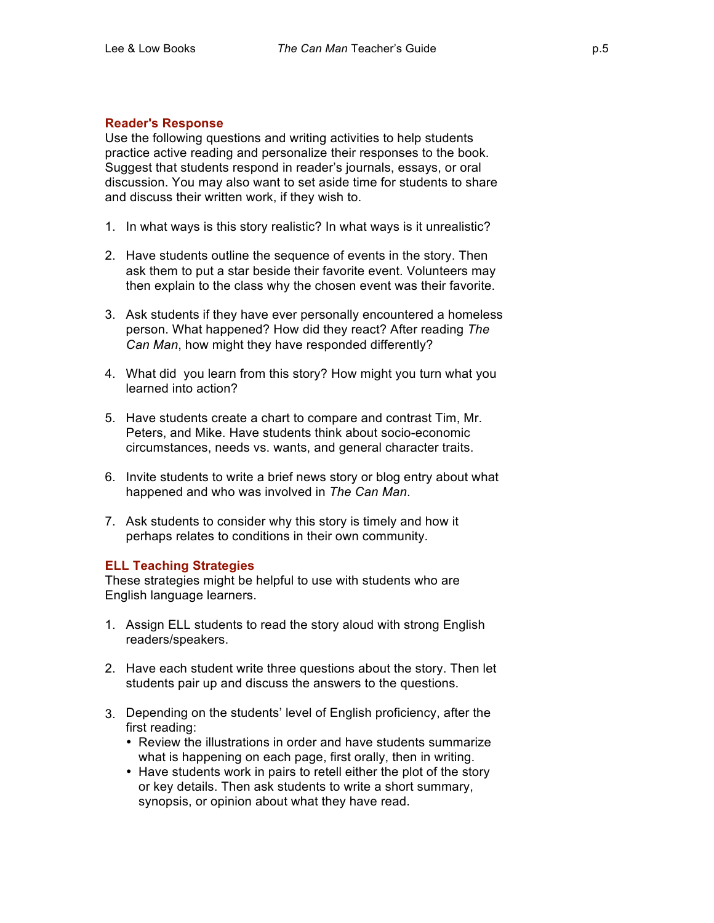### **Reader's Response**

Use the following questions and writing activities to help students practice active reading and personalize their responses to the book. Suggest that students respond in reader's journals, essays, or oral discussion. You may also want to set aside time for students to share and discuss their written work, if they wish to.

- 1. In what ways is this story realistic? In what ways is it unrealistic?
- 2. Have students outline the sequence of events in the story. Then ask them to put a star beside their favorite event. Volunteers may then explain to the class why the chosen event was their favorite.
- 3. Ask students if they have ever personally encountered a homeless person. What happened? How did they react? After reading *The Can Man*, how might they have responded differently?
- 4. What did you learn from this story? How might you turn what you learned into action?
- 5. Have students create a chart to compare and contrast Tim, Mr. Peters, and Mike. Have students think about socio-economic circumstances, needs vs. wants, and general character traits.
- 6. Invite students to write a brief news story or blog entry about what happened and who was involved in *The Can Man*.
- 7. Ask students to consider why this story is timely and how it perhaps relates to conditions in their own community.

# **ELL Teaching Strategies**

These strategies might be helpful to use with students who are English language learners.

- 1. Assign ELL students to read the story aloud with strong English readers/speakers.
- 2. Have each student write three questions about the story. Then let students pair up and discuss the answers to the questions.
- 3. Depending on the students' level of English proficiency, after the first reading:
	- Review the illustrations in order and have students summarize what is happening on each page, first orally, then in writing.
	- Have students work in pairs to retell either the plot of the story or key details. Then ask students to write a short summary, synopsis, or opinion about what they have read.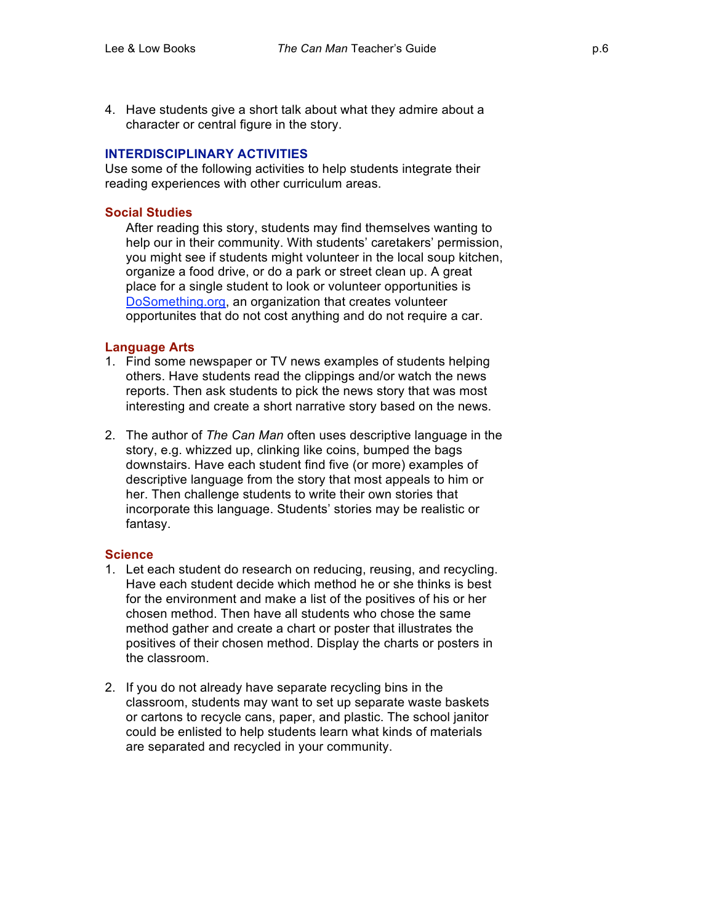4. Have students give a short talk about what they admire about a character or central figure in the story.

### **INTERDISCIPLINARY ACTIVITIES**

Use some of the following activities to help students integrate their reading experiences with other curriculum areas.

### **Social Studies**

After reading this story, students may find themselves wanting to help our in their community. With students' caretakers' permission, you might see if students might volunteer in the local soup kitchen, organize a food drive, or do a park or street clean up. A great place for a single student to look or volunteer opportunities is [DoSomething.org,](http://www.dosomething.org/) an organization that creates volunteer opportunites that do not cost anything and do not require a car.

### **Language Arts**

- 1. Find some newspaper or TV news examples of students helping others. Have students read the clippings and/or watch the news reports. Then ask students to pick the news story that was most interesting and create a short narrative story based on the news.
- 2. The author of *The Can Man* often uses descriptive language in the story, e.g. whizzed up, clinking like coins, bumped the bags downstairs. Have each student find five (or more) examples of descriptive language from the story that most appeals to him or her. Then challenge students to write their own stories that incorporate this language. Students' stories may be realistic or fantasy.

### **Science**

- 1. Let each student do research on reducing, reusing, and recycling. Have each student decide which method he or she thinks is best for the environment and make a list of the positives of his or her chosen method. Then have all students who chose the same method gather and create a chart or poster that illustrates the positives of their chosen method. Display the charts or posters in the classroom.
- 2. If you do not already have separate recycling bins in the classroom, students may want to set up separate waste baskets or cartons to recycle cans, paper, and plastic. The school janitor could be enlisted to help students learn what kinds of materials are separated and recycled in your community.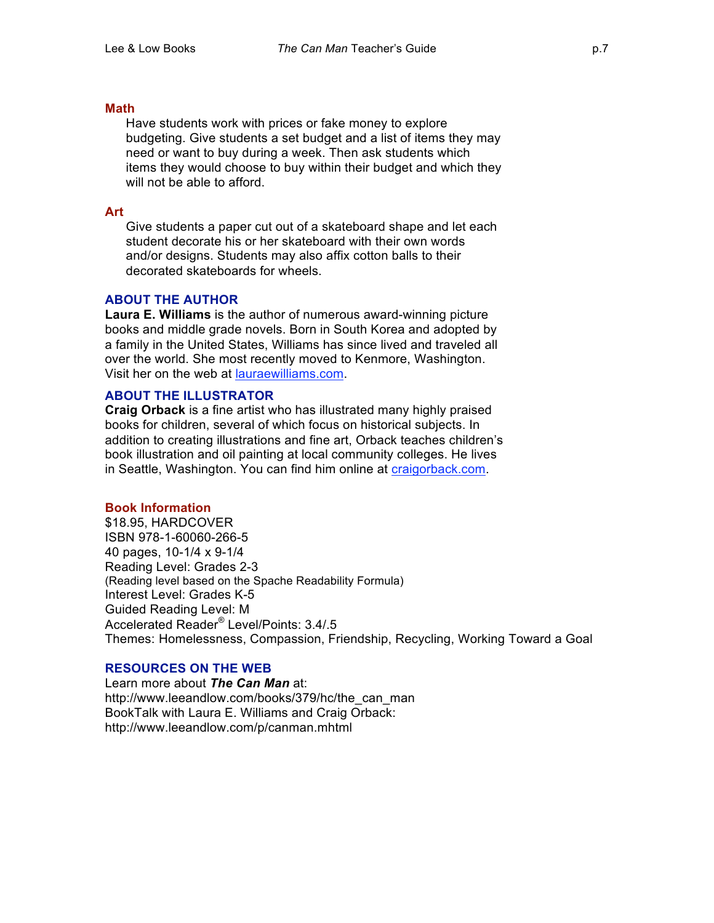#### **Math**

Have students work with prices or fake money to explore budgeting. Give students a set budget and a list of items they may need or want to buy during a week. Then ask students which items they would choose to buy within their budget and which they will not be able to afford.

#### **Art**

Give students a paper cut out of a skateboard shape and let each student decorate his or her skateboard with their own words and/or designs. Students may also affix cotton balls to their decorated skateboards for wheels.

#### **ABOUT THE AUTHOR**

**Laura E. Williams** is the author of numerous award-winning picture books and middle grade novels. Born in South Korea and adopted by a family in the United States, Williams has since lived and traveled all over the world. She most recently moved to Kenmore, Washington. Visit her on the web at [lauraewilliams.com.](http://lauraewilliams.com/)

#### **ABOUT THE ILLUSTRATOR**

**Craig Orback** is a fine artist who has illustrated many highly praised books for children, several of which focus on historical subjects. In addition to creating illustrations and fine art, Orback teaches children's book illustration and oil painting at local community colleges. He lives in Seattle, Washington. You can find him online at [craigorback.com](http://craigorback.com/).

#### **Book Information**

\$18.95, HARDCOVER ISBN 978-1-60060-266-5 40 pages, 10-1/4 x 9-1/4 Reading Level: Grades 2-3 (Reading level based on the Spache Readability Formula) Interest Level: Grades K-5 Guided Reading Level: M Accelerated Reader® Level/Points: 3.4/.5 Themes: Homelessness, Compassion, Friendship, Recycling, Working Toward a Goal

### **RESOURCES ON THE WEB**

Learn more about *The Can Man* at: http://www.leeandlow.com/books/379/hc/the\_can\_man BookTalk with Laura E. Williams and Craig Orback: http://www.leeandlow.com/p/canman.mhtml